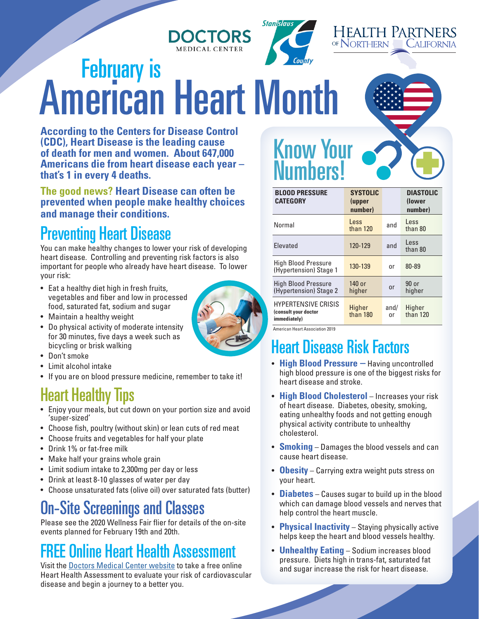



# **American Heart Month**

**According to the Centers for Disease Control (CDC), Heart Disease is the leading cause of death for men and women. About 647,000 Americans die from heart disease each year – that's 1 in every 4 deaths.** 

**The good news? Heart Disease can often be prevented when people make healthy choices and manage their conditions.** 

# Preventing Heart Disease

You can make healthy changes to lower your risk of developing heart disease. Controlling and preventing risk factors is also important for people who already have heart disease. To lower your risk:

- Eat a healthy diet high in fresh fruits, vegetables and fiber and low in processed food, saturated fat, sodium and sugar
- Maintain a healthy weight
- Do physical activity of moderate intensity for 30 minutes, five days a week such as bicycling or brisk walking
- Don't smoke
- Limit alcohol intake
- If you are on blood pressure medicine, remember to take it!

#### **Heart Healthy Tips**

- Enjoy your meals, but cut down on your portion size and avoid 'super-sized'
- Choose fish, poultry (without skin) or lean cuts of red meat
- Choose fruits and vegetables for half your plate
- Drink 1% or fat-free milk
- Make half your grains whole grain
- Limit sodium intake to 2,300mg per day or less
- Drink at least 8-10 glasses of water per day
- Choose unsaturated fats (olive oil) over saturated fats (butter)

#### On-Site Screenings and Classes

Please see the 2020 Wellness Fair flier for details of the on-site events planned for February 19th and 20th.

### FREE Online Heart Health Assessment

Visit the [Doctors Medical Center website](https://www.dmc-modesto.com/health-assessments/heart-assessment) to take a free online Heart Health Assessment to evaluate your risk of cardiovascular disease and begin a journey to a better you.

# Know Your **Numbers!**

| <b>BLOOD PRESSURE</b><br><b>CATEGORY</b>                           | <b>SYSTOLIC</b><br>(upper<br>number) |            | <b>DIASTOLIC</b><br>(lower<br>number) |
|--------------------------------------------------------------------|--------------------------------------|------------|---------------------------------------|
| Normal                                                             | Less<br>than 120                     | and        | Less<br>than 80                       |
| Elevated                                                           | 120-129                              | and        | Less<br>than 80                       |
| <b>High Blood Pressure</b><br>(Hypertension) Stage 1               | 130-139                              | or         | 80-89                                 |
| <b>High Blood Pressure</b><br>(Hypertension) Stage 2               | 140 or<br>higher                     | or         | 90 or<br>higher                       |
| <b>HYPERTENSIVE CRISIS</b><br>(consult your doctor<br>immediately) | Higher<br>than 180                   | and/<br>or | Higher<br>than 120                    |

Health OF **NORTHERN** 

American Heart Association 2019

## Heart Disease Risk Factors

- **High Blood Pressure –** Having uncontrolled high blood pressure is one of the biggest risks for heart disease and stroke.
- **High Blood Cholesterol** Increases your risk of heart disease. Diabetes, obesity, smoking, eating unhealthy foods and not getting enough physical activity contribute to unhealthy cholesterol.
- **Smoking** Damages the blood vessels and can cause heart disease.
- **Obesity** Carrying extra weight puts stress on your heart.
- **Diabetes** Causes sugar to build up in the blood which can damage blood vessels and nerves that help control the heart muscle.
- **Physical Inactivity** Staying physically active helps keep the heart and blood vessels healthy.
- **Unhealthy Eating** Sodium increases blood pressure. Diets high in trans-fat, saturated fat and sugar increase the risk for heart disease.